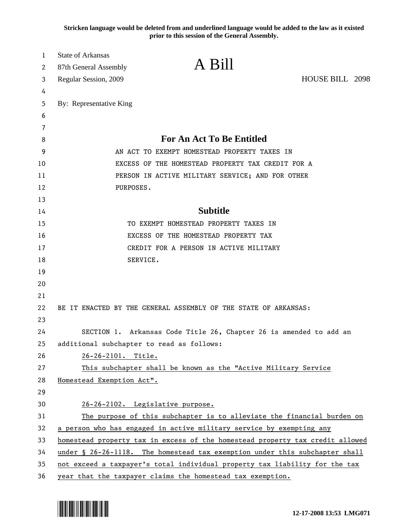**Stricken language would be deleted from and underlined language would be added to the law as it existed prior to this session of the General Assembly.**

| 1        | State of Arkansas<br>87th General Assembly                                    | A Bill                                                                      |                 |  |  |
|----------|-------------------------------------------------------------------------------|-----------------------------------------------------------------------------|-----------------|--|--|
| 2<br>3   | Regular Session, 2009                                                         |                                                                             | HOUSE BILL 2098 |  |  |
| 4        |                                                                               |                                                                             |                 |  |  |
| 5        | By: Representative King                                                       |                                                                             |                 |  |  |
| 6        |                                                                               |                                                                             |                 |  |  |
| 7        |                                                                               |                                                                             |                 |  |  |
| 8        |                                                                               | <b>For An Act To Be Entitled</b>                                            |                 |  |  |
| 9        |                                                                               | AN ACT TO EXEMPT HOMESTEAD PROPERTY TAXES IN                                |                 |  |  |
| 10       |                                                                               | EXCESS OF THE HOMESTEAD PROPERTY TAX CREDIT FOR A                           |                 |  |  |
| 11       |                                                                               | PERSON IN ACTIVE MILITARY SERVICE; AND FOR OTHER                            |                 |  |  |
| 12       | PURPOSES.                                                                     |                                                                             |                 |  |  |
| 13       |                                                                               |                                                                             |                 |  |  |
| 14       |                                                                               | <b>Subtitle</b>                                                             |                 |  |  |
| 15       |                                                                               | TO EXEMPT HOMESTEAD PROPERTY TAXES IN                                       |                 |  |  |
| 16       |                                                                               | EXCESS OF THE HOMESTEAD PROPERTY TAX                                        |                 |  |  |
| 17       |                                                                               | CREDIT FOR A PERSON IN ACTIVE MILITARY                                      |                 |  |  |
| 18       |                                                                               | SERVICE.                                                                    |                 |  |  |
| 19       |                                                                               |                                                                             |                 |  |  |
| 20       |                                                                               |                                                                             |                 |  |  |
| 21       |                                                                               |                                                                             |                 |  |  |
| 22       |                                                                               | BE IT ENACTED BY THE GENERAL ASSEMBLY OF THE STATE OF ARKANSAS:             |                 |  |  |
| 23<br>24 |                                                                               | SECTION 1. Arkansas Code Title 26, Chapter 26 is amended to add an          |                 |  |  |
| 25       | additional subchapter to read as follows:                                     |                                                                             |                 |  |  |
| 26       | 26-26-2101. Title.                                                            |                                                                             |                 |  |  |
| 27       |                                                                               | This subchapter shall be known as the "Active Military Service              |                 |  |  |
| 28       | Homestead Exemption Act".                                                     |                                                                             |                 |  |  |
| 29       |                                                                               |                                                                             |                 |  |  |
| 30       |                                                                               | 26-26-2102. Legislative purpose.                                            |                 |  |  |
| 31       |                                                                               | The purpose of this subchapter is to alleviate the financial burden on      |                 |  |  |
| 32       | a person who has engaged in active military service by exempting any          |                                                                             |                 |  |  |
| 33       | homestead property tax in excess of the homestead property tax credit allowed |                                                                             |                 |  |  |
| 34       |                                                                               | under § 26-26-1118. The homestead tax exemption under this subchapter shall |                 |  |  |
| 35       |                                                                               | not exceed a taxpayer's total individual property tax liability for the tax |                 |  |  |
| 36       |                                                                               | year that the taxpayer claims the homestead tax exemption.                  |                 |  |  |

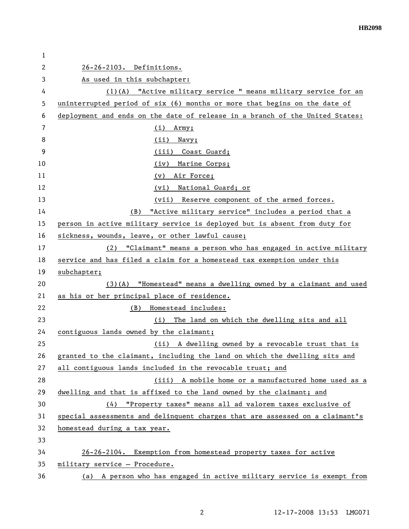| 1  |                                                                              |  |  |
|----|------------------------------------------------------------------------------|--|--|
| 2  | 26-26-2103. Definitions.                                                     |  |  |
| 3  | As used in this subchapter:                                                  |  |  |
| 4  | (1)(A) "Active military service " means military service for an              |  |  |
| 5  | uninterrupted period of six (6) months or more that begins on the date of    |  |  |
| 6  | deployment and ends on the date of release in a branch of the United States: |  |  |
| 7  | Army;<br>(i)                                                                 |  |  |
| 8  | (ii)<br>Navy;                                                                |  |  |
| 9  | (iii) Coast Guard;                                                           |  |  |
| 10 | Marine Corps;<br>(iv)                                                        |  |  |
| 11 | Air Force;<br>(v)                                                            |  |  |
| 12 | (vi) National Guard; or                                                      |  |  |
| 13 | (vii) Reserve component of the armed forces.                                 |  |  |
| 14 | "Active military service" includes a period that a<br>(B)                    |  |  |
| 15 | person in active military service is deployed but is absent from duty for    |  |  |
| 16 | sickness, wounds, leave, or other lawful cause;                              |  |  |
| 17 | (2) "Claimant" means a person who has engaged in active military             |  |  |
| 18 | service and has filed a claim for a homestead tax exemption under this       |  |  |
| 19 | subchapter;                                                                  |  |  |
| 20 | (3)(A) "Homestead" means a dwelling owned by a claimant and used             |  |  |
| 21 | as his or her principal place of residence.                                  |  |  |
| 22 | (B)<br>Homestead includes:                                                   |  |  |
| 23 | The land on which the dwelling sits and all<br>(i)                           |  |  |
| 24 | contiguous lands owned by the claimant;                                      |  |  |
| 25 | (ii) A dwelling owned by a revocable trust that is                           |  |  |
| 26 | granted to the claimant, including the land on which the dwelling sits and   |  |  |
| 27 | all contiguous lands included in the revocable trust; and                    |  |  |
| 28 | (iii) A mobile home or a manufactured home used as a                         |  |  |
| 29 | dwelling and that is affixed to the land owned by the claimant; and          |  |  |
| 30 | (4) "Property taxes" means all ad valorem taxes exclusive of                 |  |  |
| 31 | special assessments and delinquent charges that are assessed on a claimant's |  |  |
| 32 | homestead during a tax year.                                                 |  |  |
| 33 |                                                                              |  |  |
| 34 | 26-26-2104. Exemption from homestead property taxes for active               |  |  |
| 35 | military service - Procedure.                                                |  |  |
| 36 | (a) A person who has engaged in active military service is exempt from       |  |  |